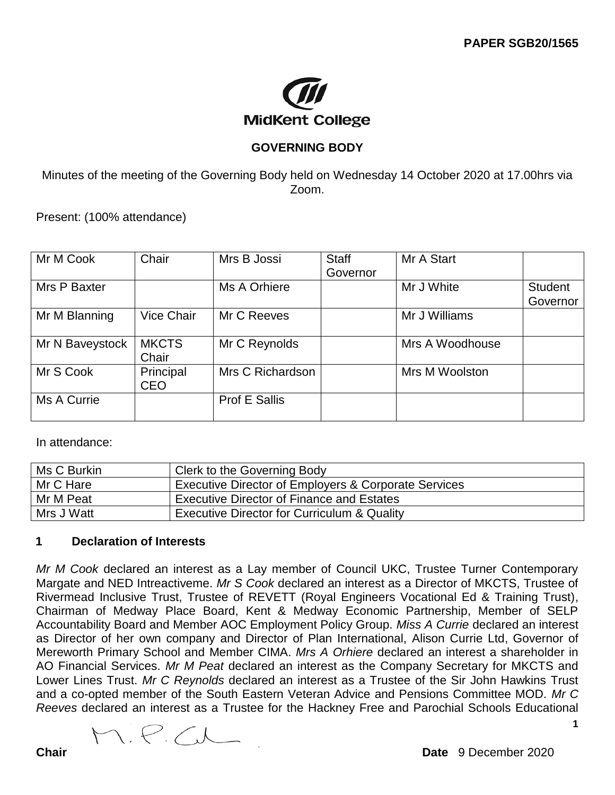

# **GOVERNING BODY**

Minutes of the meeting of the Governing Body held on Wednesday 14 October 2020 at 17.00hrs via Zoom.

Present: (100% attendance)

| Mr M Cook       | Chair        | Mrs B Jossi          | Staff    | Mr A Start      |                |
|-----------------|--------------|----------------------|----------|-----------------|----------------|
|                 |              |                      | Governor |                 |                |
| Mrs P Baxter    |              | Ms A Orhiere         |          | Mr J White      | <b>Student</b> |
|                 |              |                      |          |                 | Governor       |
| Mr M Blanning   | Vice Chair   | Mr C Reeves          |          | Mr J Williams   |                |
|                 |              |                      |          |                 |                |
| Mr N Baveystock | <b>MKCTS</b> | Mr C Reynolds        |          | Mrs A Woodhouse |                |
|                 | Chair        |                      |          |                 |                |
| Mr S Cook       | Principal    | Mrs C Richardson     |          | Mrs M Woolston  |                |
|                 | <b>CEO</b>   |                      |          |                 |                |
| Ms A Currie     |              | <b>Prof E Sallis</b> |          |                 |                |
|                 |              |                      |          |                 |                |

In attendance:

| Ms C Burkin | Clerk to the Governing Body                            |
|-------------|--------------------------------------------------------|
| Mr C Hare   | Executive Director of Employers & Corporate Services   |
| Mr M Peat   | <b>Executive Director of Finance and Estates</b>       |
| Mrs J Watt  | <b>Executive Director for Curriculum &amp; Quality</b> |

## **1 Declaration of Interests**

*Mr M Cook* declared an interest as a Lay member of Council UKC, Trustee Turner Contemporary Margate and NED Intreactiveme. *Mr S Cook* declared an interest as a Director of MKCTS, Trustee of Rivermead Inclusive Trust, Trustee of REVETT (Royal Engineers Vocational Ed & Training Trust), Chairman of Medway Place Board, Kent & Medway Economic Partnership, Member of SELP Accountability Board and Member AOC Employment Policy Group. *Miss A Currie* declared an interest as Director of her own company and Director of Plan International, Alison Currie Ltd, Governor of Mereworth Primary School and Member CIMA. *Mrs A Orhiere* declared an interest a shareholder in AO Financial Services. *Mr M Peat* declared an interest as the Company Secretary for MKCTS and Lower Lines Trust. *Mr C Reynolds* declared an interest as a Trustee of the Sir John Hawkins Trust and a co-opted member of the South Eastern Veteran Advice and Pensions Committee MOD. *Mr C Reeves* declared an interest as a Trustee for the Hackney Free and Parochial Schools Educational

M.P.C.L

**1**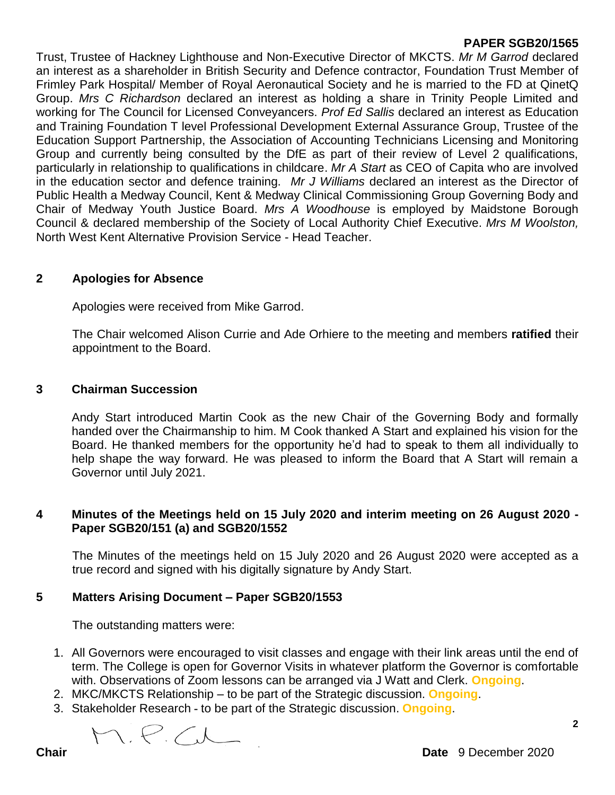Trust, Trustee of Hackney Lighthouse and Non-Executive Director of MKCTS. *Mr M Garrod* declared an interest as a shareholder in British Security and Defence contractor, Foundation Trust Member of Frimley Park Hospital/ Member of Royal Aeronautical Society and he is married to the FD at QinetQ Group. *Mrs C Richardson* declared an interest as holding a share in Trinity People Limited and working for The Council for Licensed Conveyancers. *Prof Ed Sallis* declared an interest as Education and Training Foundation T level Professional Development External Assurance Group, Trustee of the Education Support Partnership, the Association of Accounting Technicians Licensing and Monitoring Group and currently being consulted by the DfE as part of their review of Level 2 qualifications, particularly in relationship to qualifications in childcare. *Mr A Start* as CEO of Capita who are involved in the education sector and defence training. *Mr J Williams* declared an interest as the Director of Public Health a Medway Council, Kent & Medway Clinical Commissioning Group Governing Body and Chair of Medway Youth Justice Board. *Mrs A Woodhouse* is employed by Maidstone Borough Council & declared membership of the Society of Local Authority Chief Executive. *Mrs M Woolston,*  North West Kent Alternative Provision Service - Head Teacher.

## **2 Apologies for Absence**

Apologies were received from Mike Garrod.

The Chair welcomed Alison Currie and Ade Orhiere to the meeting and members **ratified** their appointment to the Board.

#### **3 Chairman Succession**

Andy Start introduced Martin Cook as the new Chair of the Governing Body and formally handed over the Chairmanship to him. M Cook thanked A Start and explained his vision for the Board. He thanked members for the opportunity he'd had to speak to them all individually to help shape the way forward. He was pleased to inform the Board that A Start will remain a Governor until July 2021.

#### **4 Minutes of the Meetings held on 15 July 2020 and interim meeting on 26 August 2020 - Paper SGB20/151 (a) and SGB20/1552**

The Minutes of the meetings held on 15 July 2020 and 26 August 2020 were accepted as a true record and signed with his digitally signature by Andy Start.

## **5 Matters Arising Document – Paper SGB20/1553**

The outstanding matters were:

- 1. All Governors were encouraged to visit classes and engage with their link areas until the end of term. The College is open for Governor Visits in whatever platform the Governor is comfortable with. Observations of Zoom lessons can be arranged via J Watt and Clerk. **Ongoing**.
- 2. MKC/MKCTS Relationship to be part of the Strategic discussion. **Ongoing**.
- 3. Stakeholder Research **-** to be part of the Strategic discussion. **Ongoing**.

M.P.C

**2**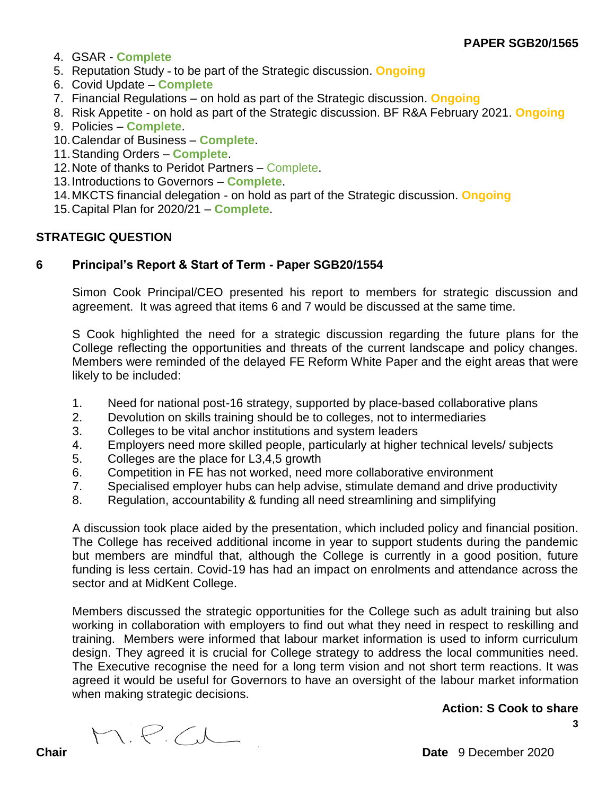- 4. GSAR **Complete**
- 5. Reputation Study **-** to be part of the Strategic discussion. **Ongoing**
- 6. Covid Update **Complete**
- 7. Financial Regulations on hold as part of the Strategic discussion. **Ongoing**
- 8. Risk Appetite on hold as part of the Strategic discussion. BF R&A February 2021. **Ongoing**
- 9. Policies **Complete**.
- 10.Calendar of Business **Complete**.
- 11.Standing Orders **Complete**.
- 12.Note of thanks to Peridot Partners Complete.
- 13.Introductions to Governors **Complete**.
- 14.MKCTS financial delegation on hold as part of the Strategic discussion. **Ongoing**
- 15.Capital Plan for 2020/21 **Complete**.

## **STRATEGIC QUESTION**

#### **6 Principal's Report & Start of Term - Paper SGB20/1554**

Simon Cook Principal/CEO presented his report to members for strategic discussion and agreement. It was agreed that items 6 and 7 would be discussed at the same time.

S Cook highlighted the need for a strategic discussion regarding the future plans for the College reflecting the opportunities and threats of the current landscape and policy changes. Members were reminded of the delayed FE Reform White Paper and the eight areas that were likely to be included:

- 1. Need for national post-16 strategy, supported by place-based collaborative plans
- 2. Devolution on skills training should be to colleges, not to intermediaries
- 3. Colleges to be vital anchor institutions and system leaders
- 4. Employers need more skilled people, particularly at higher technical levels/ subjects
- 5. Colleges are the place for L3,4,5 growth
- 6. Competition in FE has not worked, need more collaborative environment
- 7. Specialised employer hubs can help advise, stimulate demand and drive productivity
- 8. Regulation, accountability & funding all need streamlining and simplifying

A discussion took place aided by the presentation, which included policy and financial position. The College has received additional income in year to support students during the pandemic but members are mindful that, although the College is currently in a good position, future funding is less certain. Covid-19 has had an impact on enrolments and attendance across the sector and at MidKent College.

Members discussed the strategic opportunities for the College such as adult training but also working in collaboration with employers to find out what they need in respect to reskilling and training. Members were informed that labour market information is used to inform curriculum design. They agreed it is crucial for College strategy to address the local communities need. The Executive recognise the need for a long term vision and not short term reactions. It was agreed it would be useful for Governors to have an oversight of the labour market information when making strategic decisions.

#### **Action: S Cook to share**

**3**

M.P.C

**Chair Date** 9 December 2020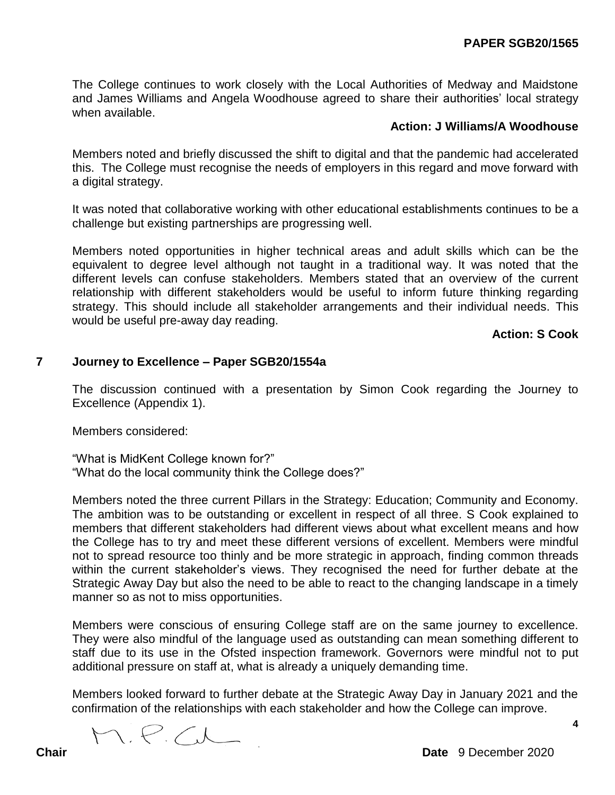The College continues to work closely with the Local Authorities of Medway and Maidstone and James Williams and Angela Woodhouse agreed to share their authorities' local strategy when available.

#### **Action: J Williams/A Woodhouse**

Members noted and briefly discussed the shift to digital and that the pandemic had accelerated this. The College must recognise the needs of employers in this regard and move forward with a digital strategy.

It was noted that collaborative working with other educational establishments continues to be a challenge but existing partnerships are progressing well.

Members noted opportunities in higher technical areas and adult skills which can be the equivalent to degree level although not taught in a traditional way. It was noted that the different levels can confuse stakeholders. Members stated that an overview of the current relationship with different stakeholders would be useful to inform future thinking regarding strategy. This should include all stakeholder arrangements and their individual needs. This would be useful pre-away day reading.

#### **Action: S Cook**

#### **7 Journey to Excellence – Paper SGB20/1554a**

The discussion continued with a presentation by Simon Cook regarding the Journey to Excellence (Appendix 1).

Members considered:

"What is MidKent College known for?" "What do the local community think the College does?"

Members noted the three current Pillars in the Strategy: Education; Community and Economy. The ambition was to be outstanding or excellent in respect of all three. S Cook explained to members that different stakeholders had different views about what excellent means and how the College has to try and meet these different versions of excellent. Members were mindful not to spread resource too thinly and be more strategic in approach, finding common threads within the current stakeholder's views. They recognised the need for further debate at the Strategic Away Day but also the need to be able to react to the changing landscape in a timely manner so as not to miss opportunities.

Members were conscious of ensuring College staff are on the same journey to excellence. They were also mindful of the language used as outstanding can mean something different to staff due to its use in the Ofsted inspection framework. Governors were mindful not to put additional pressure on staff at, what is already a uniquely demanding time.

Members looked forward to further debate at the Strategic Away Day in January 2021 and the confirmation of the relationships with each stakeholder and how the College can improve.

M.P.C.L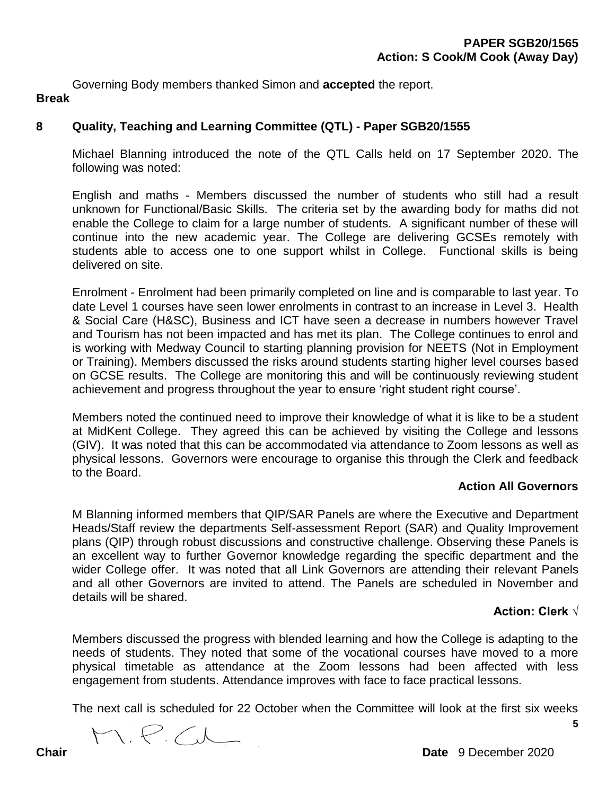Governing Body members thanked Simon and **accepted** the report.

## **Break**

# **8 Quality, Teaching and Learning Committee (QTL) - Paper SGB20/1555**

Michael Blanning introduced the note of the QTL Calls held on 17 September 2020. The following was noted:

English and maths - Members discussed the number of students who still had a result unknown for Functional/Basic Skills. The criteria set by the awarding body for maths did not enable the College to claim for a large number of students. A significant number of these will continue into the new academic year. The College are delivering GCSEs remotely with students able to access one to one support whilst in College. Functional skills is being delivered on site.

Enrolment - Enrolment had been primarily completed on line and is comparable to last year. To date Level 1 courses have seen lower enrolments in contrast to an increase in Level 3. Health & Social Care (H&SC), Business and ICT have seen a decrease in numbers however Travel and Tourism has not been impacted and has met its plan. The College continues to enrol and is working with Medway Council to starting planning provision for NEETS (Not in Employment or Training). Members discussed the risks around students starting higher level courses based on GCSE results. The College are monitoring this and will be continuously reviewing student achievement and progress throughout the year to ensure 'right student right course'.

Members noted the continued need to improve their knowledge of what it is like to be a student at MidKent College. They agreed this can be achieved by visiting the College and lessons (GIV). It was noted that this can be accommodated via attendance to Zoom lessons as well as physical lessons. Governors were encourage to organise this through the Clerk and feedback to the Board.

#### **Action All Governors**

M Blanning informed members that QIP/SAR Panels are where the Executive and Department Heads/Staff review the departments Self-assessment Report (SAR) and Quality Improvement plans (QIP) through robust discussions and constructive challenge. Observing these Panels is an excellent way to further Governor knowledge regarding the specific department and the wider College offer. It was noted that all Link Governors are attending their relevant Panels and all other Governors are invited to attend. The Panels are scheduled in November and details will be shared.

## **Action: Clerk √**

**5**

Members discussed the progress with blended learning and how the College is adapting to the needs of students. They noted that some of the vocational courses have moved to a more physical timetable as attendance at the Zoom lessons had been affected with less engagement from students. Attendance improves with face to face practical lessons.

The next call is scheduled for 22 October when the Committee will look at the first six weeks

M.P.C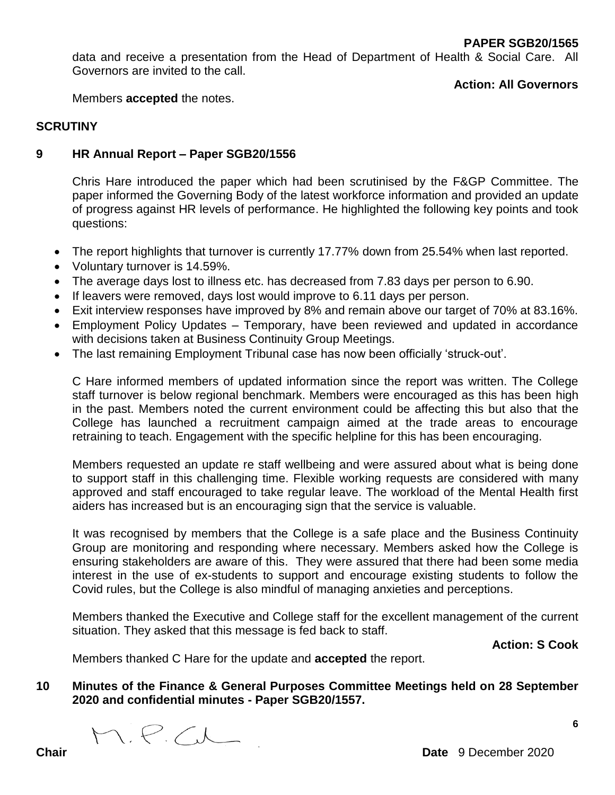data and receive a presentation from the Head of Department of Health & Social Care. All Governors are invited to the call.

**Action: All Governors**

Members **accepted** the notes.

## **SCRUTINY**

## **9 HR Annual Report – Paper SGB20/1556**

Chris Hare introduced the paper which had been scrutinised by the F&GP Committee. The paper informed the Governing Body of the latest workforce information and provided an update of progress against HR levels of performance. He highlighted the following key points and took questions:

- The report highlights that turnover is currently 17.77% down from 25.54% when last reported.
- Voluntary turnover is 14.59%.
- The average days lost to illness etc. has decreased from 7.83 days per person to 6.90.
- If leavers were removed, days lost would improve to 6.11 days per person.
- Exit interview responses have improved by 8% and remain above our target of 70% at 83.16%.
- Employment Policy Updates Temporary, have been reviewed and updated in accordance with decisions taken at Business Continuity Group Meetings.
- The last remaining Employment Tribunal case has now been officially 'struck-out'.

C Hare informed members of updated information since the report was written. The College staff turnover is below regional benchmark. Members were encouraged as this has been high in the past. Members noted the current environment could be affecting this but also that the College has launched a recruitment campaign aimed at the trade areas to encourage retraining to teach. Engagement with the specific helpline for this has been encouraging.

Members requested an update re staff wellbeing and were assured about what is being done to support staff in this challenging time. Flexible working requests are considered with many approved and staff encouraged to take regular leave. The workload of the Mental Health first aiders has increased but is an encouraging sign that the service is valuable.

It was recognised by members that the College is a safe place and the Business Continuity Group are monitoring and responding where necessary. Members asked how the College is ensuring stakeholders are aware of this. They were assured that there had been some media interest in the use of ex-students to support and encourage existing students to follow the Covid rules, but the College is also mindful of managing anxieties and perceptions.

Members thanked the Executive and College staff for the excellent management of the current situation. They asked that this message is fed back to staff.

**Action: S Cook**

**6**

Members thanked C Hare for the update and **accepted** the report.

## **10 Minutes of the Finance & General Purposes Committee Meetings held on 28 September 2020 and confidential minutes - Paper SGB20/1557.**

M.P.C

**Chair Date** 9 December 2020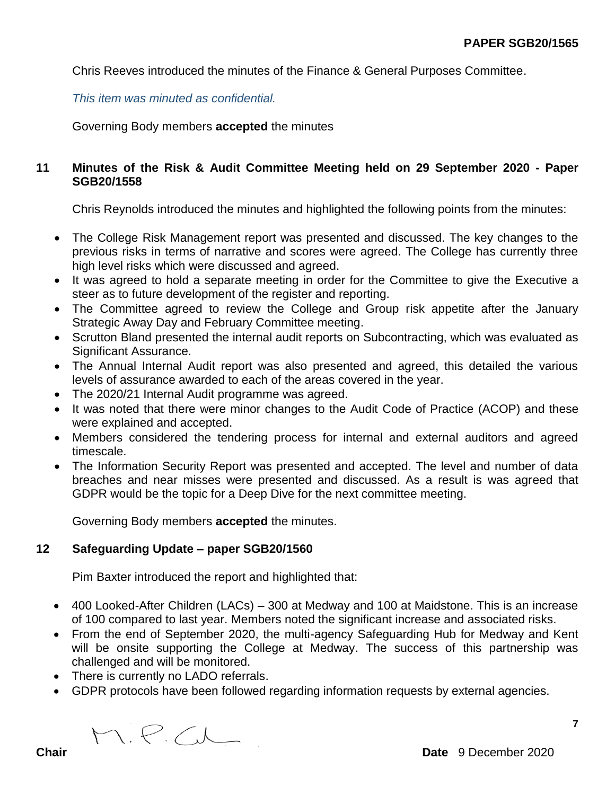Chris Reeves introduced the minutes of the Finance & General Purposes Committee.

*This item was minuted as confidential.*

Governing Body members **accepted** the minutes

## **11 Minutes of the Risk & Audit Committee Meeting held on 29 September 2020 - Paper SGB20/1558**

Chris Reynolds introduced the minutes and highlighted the following points from the minutes:

- The College Risk Management report was presented and discussed. The key changes to the previous risks in terms of narrative and scores were agreed. The College has currently three high level risks which were discussed and agreed.
- It was agreed to hold a separate meeting in order for the Committee to give the Executive a steer as to future development of the register and reporting.
- The Committee agreed to review the College and Group risk appetite after the January Strategic Away Day and February Committee meeting.
- Scrutton Bland presented the internal audit reports on Subcontracting, which was evaluated as Significant Assurance.
- The Annual Internal Audit report was also presented and agreed, this detailed the various levels of assurance awarded to each of the areas covered in the year.
- The 2020/21 Internal Audit programme was agreed.
- It was noted that there were minor changes to the Audit Code of Practice (ACOP) and these were explained and accepted.
- Members considered the tendering process for internal and external auditors and agreed timescale.
- The Information Security Report was presented and accepted. The level and number of data breaches and near misses were presented and discussed. As a result is was agreed that GDPR would be the topic for a Deep Dive for the next committee meeting.

Governing Body members **accepted** the minutes.

# **12 Safeguarding Update – paper SGB20/1560**

Pim Baxter introduced the report and highlighted that:

- 400 Looked-After Children (LACs) 300 at Medway and 100 at Maidstone. This is an increase of 100 compared to last year. Members noted the significant increase and associated risks.
- From the end of September 2020, the multi-agency Safeguarding Hub for Medway and Kent will be onsite supporting the College at Medway. The success of this partnership was challenged and will be monitored.
- There is currently no LADO referrals.
- GDPR protocols have been followed regarding information requests by external agencies.

M.P.C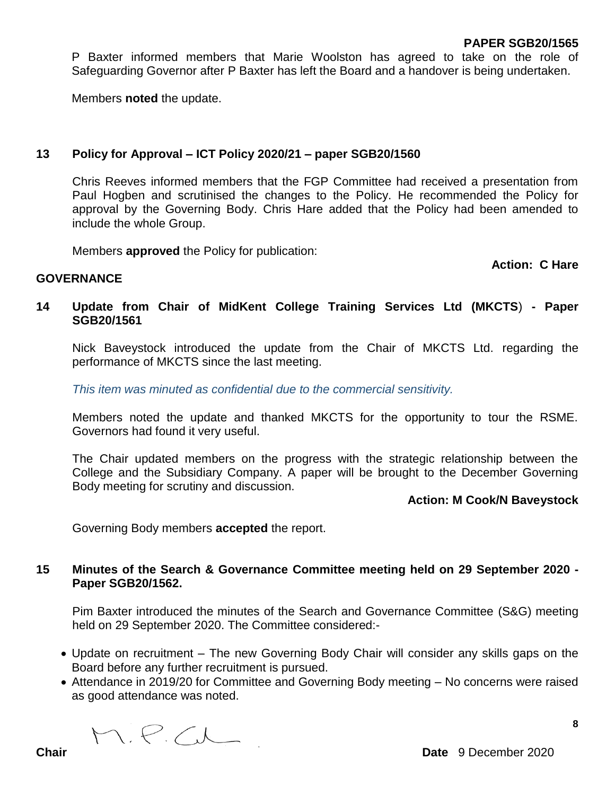P Baxter informed members that Marie Woolston has agreed to take on the role of Safeguarding Governor after P Baxter has left the Board and a handover is being undertaken.

Members **noted** the update.

#### **13 Policy for Approval – ICT Policy 2020/21 – paper SGB20/1560**

Chris Reeves informed members that the FGP Committee had received a presentation from Paul Hogben and scrutinised the changes to the Policy. He recommended the Policy for approval by the Governing Body. Chris Hare added that the Policy had been amended to include the whole Group.

Members **approved** the Policy for publication:

**Action: C Hare**

#### **GOVERNANCE**

## **14 Update from Chair of MidKent College Training Services Ltd (MKCTS**) **- Paper SGB20/1561**

Nick Baveystock introduced the update from the Chair of MKCTS Ltd. regarding the performance of MKCTS since the last meeting.

*This item was minuted as confidential due to the commercial sensitivity.*

Members noted the update and thanked MKCTS for the opportunity to tour the RSME. Governors had found it very useful.

The Chair updated members on the progress with the strategic relationship between the College and the Subsidiary Company. A paper will be brought to the December Governing Body meeting for scrutiny and discussion.

#### **Action: M Cook/N Baveystock**

Governing Body members **accepted** the report.

## **15 Minutes of the Search & Governance Committee meeting held on 29 September 2020 - Paper SGB20/1562.**

Pim Baxter introduced the minutes of the Search and Governance Committee (S&G) meeting held on 29 September 2020. The Committee considered:-

- Update on recruitment The new Governing Body Chair will consider any skills gaps on the Board before any further recruitment is pursued.
- Attendance in 2019/20 for Committee and Governing Body meeting No concerns were raised as good attendance was noted.

M.P.C

**8**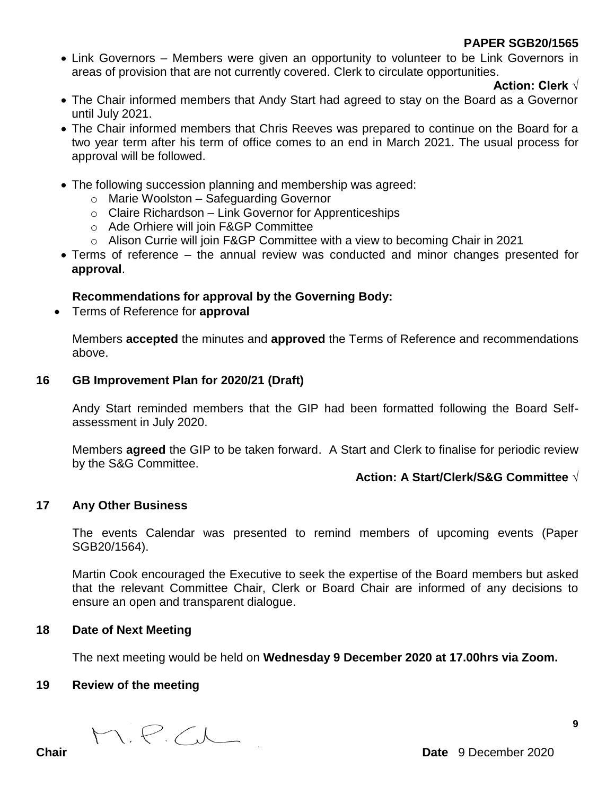• Link Governors – Members were given an opportunity to volunteer to be Link Governors in areas of provision that are not currently covered. Clerk to circulate opportunities.

**Action: Clerk √**

- The Chair informed members that Andy Start had agreed to stay on the Board as a Governor until July 2021.
- The Chair informed members that Chris Reeves was prepared to continue on the Board for a two year term after his term of office comes to an end in March 2021. The usual process for approval will be followed.
- The following succession planning and membership was agreed:
	- o Marie Woolston Safeguarding Governor
	- $\circ$  Claire Richardson Link Governor for Apprenticeships
	- o Ade Orhiere will join F&GP Committee
	- o Alison Currie will join F&GP Committee with a view to becoming Chair in 2021
- Terms of reference the annual review was conducted and minor changes presented for **approval**.

# **Recommendations for approval by the Governing Body:**

Terms of Reference for **approval**

Members **accepted** the minutes and **approved** the Terms of Reference and recommendations above.

## **16 GB Improvement Plan for 2020/21 (Draft)**

Andy Start reminded members that the GIP had been formatted following the Board Selfassessment in July 2020.

Members **agreed** the GIP to be taken forward. A Start and Clerk to finalise for periodic review by the S&G Committee.

# **Action: A Start/Clerk/S&G Committee √**

# **17 Any Other Business**

The events Calendar was presented to remind members of upcoming events (Paper SGB20/1564).

Martin Cook encouraged the Executive to seek the expertise of the Board members but asked that the relevant Committee Chair, Clerk or Board Chair are informed of any decisions to ensure an open and transparent dialogue.

## **18 Date of Next Meeting**

The next meeting would be held on **Wednesday 9 December 2020 at 17.00hrs via Zoom.** 

## **19 Review of the meeting**

M.P.C